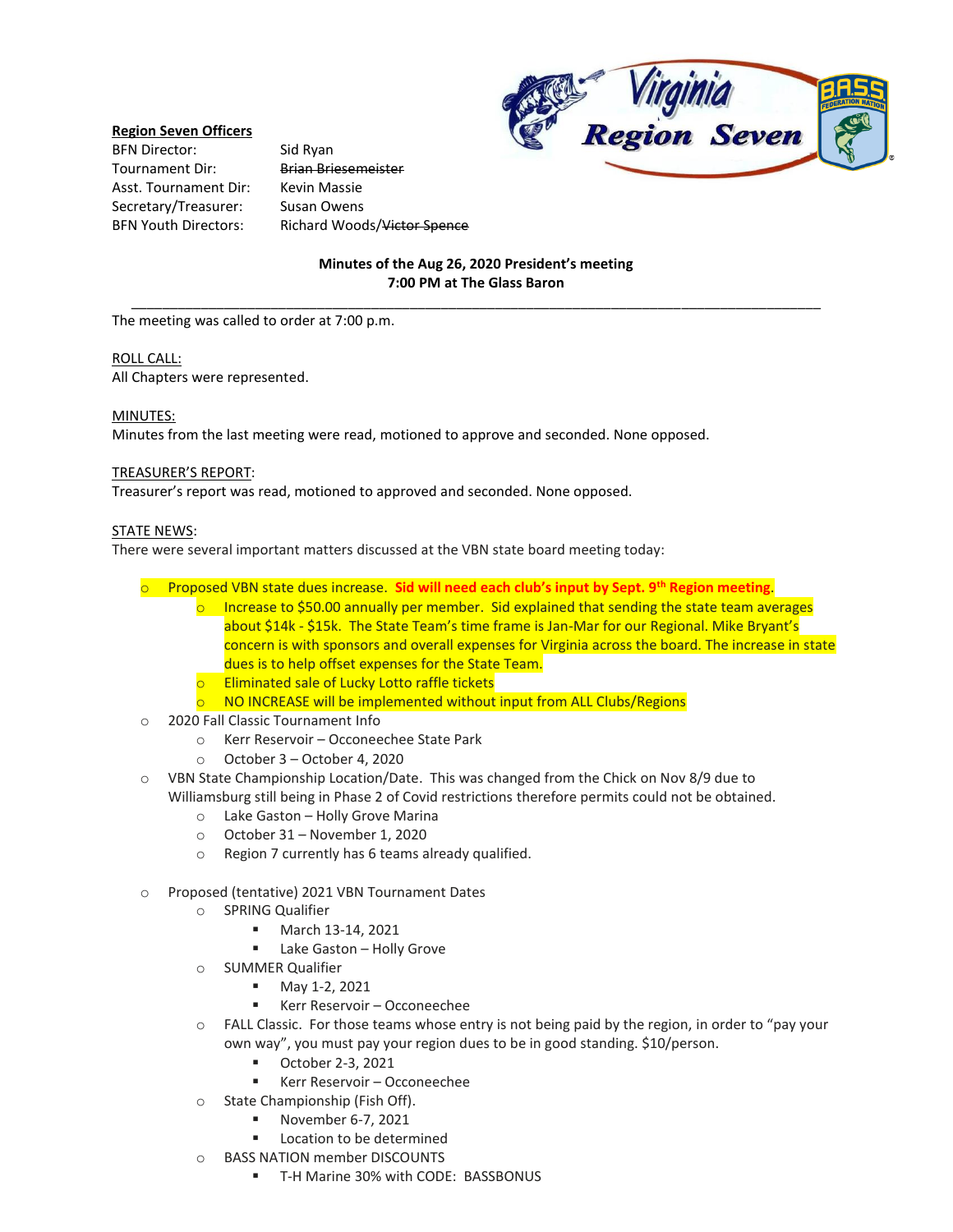### **Region Seven Officers**

BFN Director: Sid Ryan Tournament Dir: Brian Briesemeister Asst. Tournament Dir: Kevin Massie Secretary/Treasurer: Susan Owens

BFN Youth Directors: Richard Woods/Victor Spence



# **Minutes of the Aug 26, 2020 President's meeting 7:00 PM at The Glass Baron** \_\_\_\_\_\_\_\_\_\_\_\_\_\_\_\_\_\_\_\_\_\_\_\_\_\_\_\_\_\_\_\_\_\_\_\_\_\_\_\_\_\_\_\_\_\_\_\_\_\_\_\_\_\_\_\_\_\_\_\_\_\_\_\_\_\_\_\_\_\_\_\_\_\_\_\_\_\_\_\_\_\_\_\_\_\_\_\_\_

The meeting was called to order at 7:00 p.m.

### ROLL CALL:

All Chapters were represented.

# MINUTES:

Minutes from the last meeting were read, motioned to approve and seconded. None opposed.

### TREASURER'S REPORT:

Treasurer's report was read, motioned to approved and seconded. None opposed.

### STATE NEWS:

There were several important matters discussed at the VBN state board meeting today:

- o Proposed VBN state dues increase. **Sid will need each club's input by Sept. 9th Region meeting**.
	- $\circ$  Increase to \$50.00 annually per member. Sid explained that sending the state team averages about \$14k - \$15k. The State Team's time frame is Jan-Mar for our Regional. Mike Bryant's concern is with sponsors and overall expenses for Virginia across the board. The increase in state dues is to help offset expenses for the State Team.
	- o Eliminated sale of Lucky Lotto raffle tickets
	- $\circ$  NO INCREASE will be implemented without input from ALL Clubs/Regions
- o 2020 Fall Classic Tournament Info
	- o Kerr Reservoir Occoneechee State Park
	- o October 3 October 4, 2020
- o VBN State Championship Location/Date. This was changed from the Chick on Nov 8/9 due to Williamsburg still being in Phase 2 of Covid restrictions therefore permits could not be obtained.
	- o Lake Gaston Holly Grove Marina
	- o October 31 November 1, 2020
	- o Region 7 currently has 6 teams already qualified.
- o Proposed (tentative) 2021 VBN Tournament Dates
	- o SPRING Qualifier
		- March 13-14, 2021
		- Lake Gaston Holly Grove
	- o SUMMER Qualifier
		- May 1-2, 2021
		- Kerr Reservoir Occoneechee
	- o FALL Classic. For those teams whose entry is not being paid by the region, in order to "pay your own way", you must pay your region dues to be in good standing. \$10/person.
		- October 2-3, 2021
		- Kerr Reservoir Occoneechee
	- o State Championship (Fish Off).
		- November 6-7, 2021
		- Location to be determined
	- o BASS NATION member DISCOUNTS
		- T-H Marine 30% with CODE: BASSBONUS